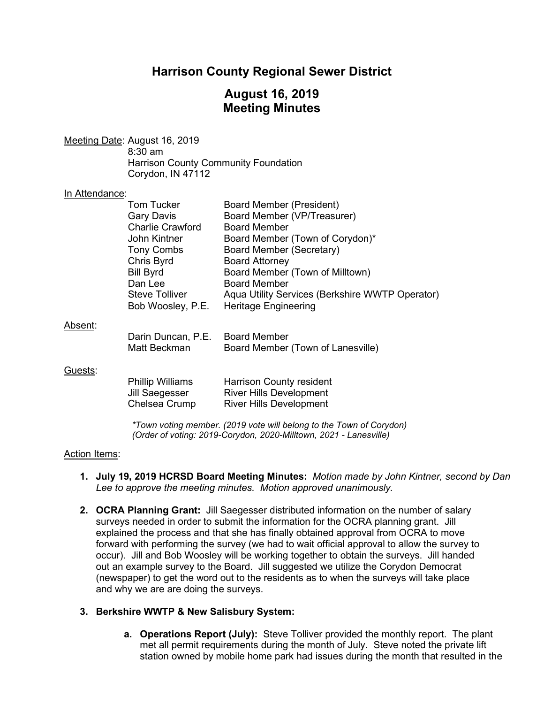## **Harrison County Regional Sewer District**

## **August 16, 2019 Meeting Minutes**

Meeting Date: August 16, 2019 8:30 am Harrison County Community Foundation Corydon, IN 47112

#### In Attendance:

|         | <b>Tom Tucker</b>       | <b>Board Member (President)</b>                 |
|---------|-------------------------|-------------------------------------------------|
|         | <b>Gary Davis</b>       | Board Member (VP/Treasurer)                     |
|         | <b>Charlie Crawford</b> | <b>Board Member</b>                             |
|         | John Kintner            | Board Member (Town of Corydon)*                 |
|         | <b>Tony Combs</b>       | Board Member (Secretary)                        |
|         | Chris Byrd              | <b>Board Attorney</b>                           |
|         | <b>Bill Byrd</b>        | Board Member (Town of Milltown)                 |
|         | Dan Lee                 | <b>Board Member</b>                             |
|         | <b>Steve Tolliver</b>   | Aqua Utility Services (Berkshire WWTP Operator) |
|         | Bob Woosley, P.E.       | <b>Heritage Engineering</b>                     |
| Absent: |                         |                                                 |
|         | Darin Duncan, P.E.      | <b>Board Member</b>                             |
|         | Matt Beckman            | Board Member (Town of Lanesville)               |
| Guests: |                         |                                                 |
|         | <b>Phillip Williams</b> | <b>Harrison County resident</b>                 |
|         | Jill Saegesser          | <b>River Hills Development</b>                  |
|         | Chelsea Crump           | <b>River Hills Development</b>                  |

*\*Town voting member. (2019 vote will belong to the Town of Corydon) (Order of voting: 2019-Corydon, 2020-Milltown, 2021 - Lanesville)*

#### Action Items:

- **1. July 19, 2019 HCRSD Board Meeting Minutes:** *Motion made by John Kintner, second by Dan Lee to approve the meeting minutes. Motion approved unanimously.*
- **2. OCRA Planning Grant:** Jill Saegesser distributed information on the number of salary surveys needed in order to submit the information for the OCRA planning grant. Jill explained the process and that she has finally obtained approval from OCRA to move forward with performing the survey (we had to wait official approval to allow the survey to occur). Jill and Bob Woosley will be working together to obtain the surveys. Jill handed out an example survey to the Board. Jill suggested we utilize the Corydon Democrat (newspaper) to get the word out to the residents as to when the surveys will take place and why we are are doing the surveys.

### **3. Berkshire WWTP & New Salisbury System:**

**a. Operations Report (July):** Steve Tolliver provided the monthly report. The plant met all permit requirements during the month of July. Steve noted the private lift station owned by mobile home park had issues during the month that resulted in the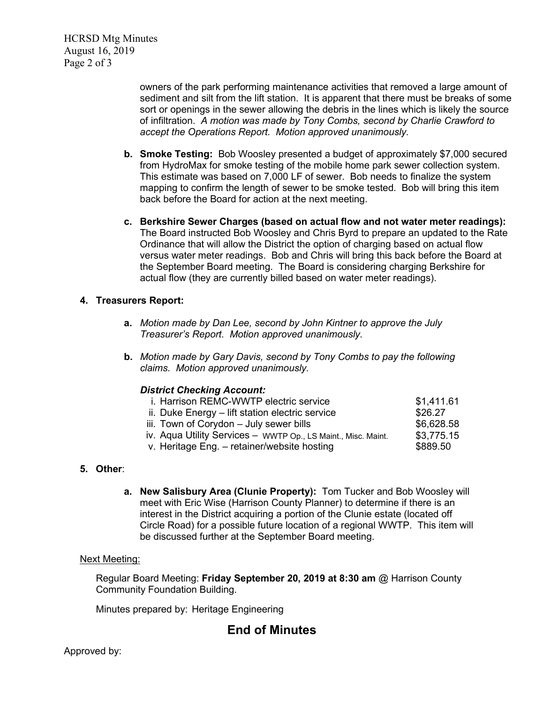HCRSD Mtg Minutes August 16, 2019 Page 2 of 3

> owners of the park performing maintenance activities that removed a large amount of sediment and silt from the lift station. It is apparent that there must be breaks of some sort or openings in the sewer allowing the debris in the lines which is likely the source of infiltration. *A motion was made by Tony Combs, second by Charlie Crawford to accept the Operations Report. Motion approved unanimously.*

- **b. Smoke Testing:** Bob Woosley presented a budget of approximately \$7,000 secured from HydroMax for smoke testing of the mobile home park sewer collection system. This estimate was based on 7,000 LF of sewer. Bob needs to finalize the system mapping to confirm the length of sewer to be smoke tested. Bob will bring this item back before the Board for action at the next meeting.
- **c. Berkshire Sewer Charges (based on actual flow and not water meter readings):** The Board instructed Bob Woosley and Chris Byrd to prepare an updated to the Rate Ordinance that will allow the District the option of charging based on actual flow versus water meter readings. Bob and Chris will bring this back before the Board at the September Board meeting. The Board is considering charging Berkshire for actual flow (they are currently billed based on water meter readings).

### **4. Treasurers Report:**

- **a.** *Motion made by Dan Lee, second by John Kintner to approve the July Treasurer's Report. Motion approved unanimously.*
- **b.** *Motion made by Gary Davis, second by Tony Combs to pay the following claims. Motion approved unanimously.*

### *District Checking Account:*

| i. Harrison REMC-WWTP electric service                        | \$1,411.61 |
|---------------------------------------------------------------|------------|
| ii. Duke Energy - lift station electric service               | \$26.27    |
| iii. Town of Corydon - July sewer bills                       | \$6,628.58 |
| iv. Aqua Utility Services - WWTP Op., LS Maint., Misc. Maint. | \$3,775.15 |
| v. Heritage Eng. - retainer/website hosting                   | \$889.50   |
|                                                               |            |

## **5. Other**:

**a. New Salisbury Area (Clunie Property):** Tom Tucker and Bob Woosley will meet with Eric Wise (Harrison County Planner) to determine if there is an interest in the District acquiring a portion of the Clunie estate (located off Circle Road) for a possible future location of a regional WWTP. This item will be discussed further at the September Board meeting.

#### Next Meeting:

Regular Board Meeting: **Friday September 20, 2019 at 8:30 am** @ Harrison County Community Foundation Building.

Minutes prepared by: Heritage Engineering

# **End of Minutes**